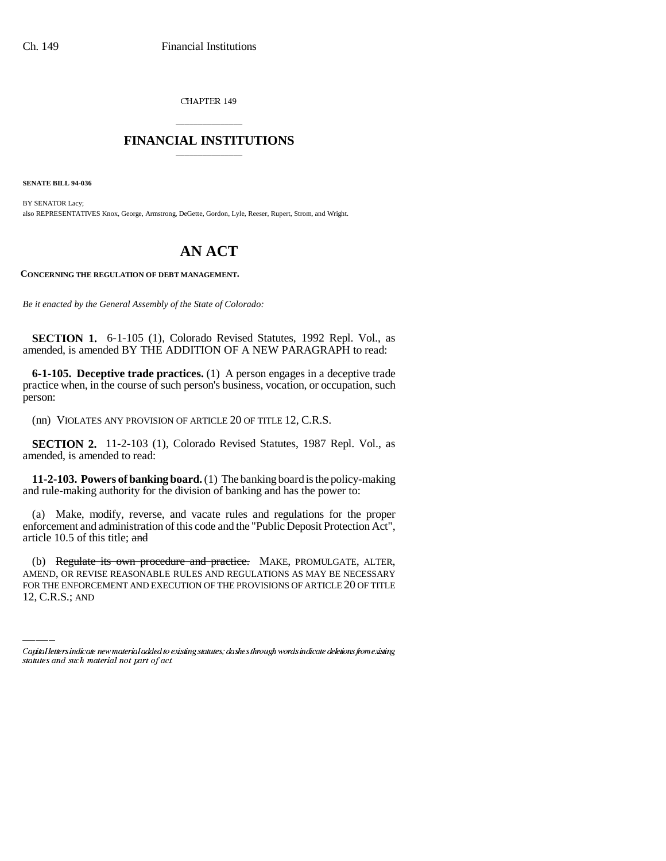CHAPTER 149

## \_\_\_\_\_\_\_\_\_\_\_\_\_\_\_ **FINANCIAL INSTITUTIONS** \_\_\_\_\_\_\_\_\_\_\_\_\_\_\_

**SENATE BILL 94-036**

BY SENATOR Lacy; also REPRESENTATIVES Knox, George, Armstrong, DeGette, Gordon, Lyle, Reeser, Rupert, Strom, and Wright.

# **AN ACT**

**CONCERNING THE REGULATION OF DEBT MANAGEMENT.**

*Be it enacted by the General Assembly of the State of Colorado:*

**SECTION 1.** 6-1-105 (1), Colorado Revised Statutes, 1992 Repl. Vol., as amended, is amended BY THE ADDITION OF A NEW PARAGRAPH to read:

**6-1-105. Deceptive trade practices.** (1) A person engages in a deceptive trade practice when, in the course of such person's business, vocation, or occupation, such person:

(nn) VIOLATES ANY PROVISION OF ARTICLE 20 OF TITLE 12, C.R.S.

**SECTION 2.** 11-2-103 (1), Colorado Revised Statutes, 1987 Repl. Vol., as amended, is amended to read:

**11-2-103. Powers of banking board.** (1) The banking board is the policy-making and rule-making authority for the division of banking and has the power to:

(a) Make, modify, reverse, and vacate rules and regulations for the proper enforcement and administration of this code and the "Public Deposit Protection Act", article 10.5 of this title; and

(b) Regulate its own procedure and practice. MAKE, PROMULGATE, ALTER, AMEND, OR REVISE REASONABLE RULES AND REGULATIONS AS MAY BE NECESSARY FOR THE ENFORCEMENT AND EXECUTION OF THE PROVISIONS OF ARTICLE 20 OF TITLE 12, C.R.S.; AND

Capital letters indicate new material added to existing statutes; dashes through words indicate deletions from existing statutes and such material not part of act.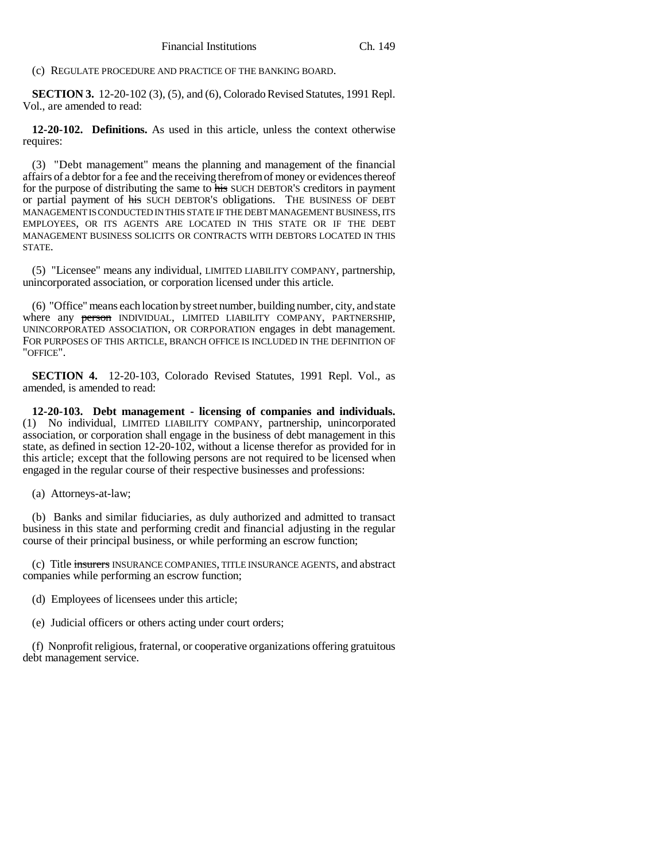(c) REGULATE PROCEDURE AND PRACTICE OF THE BANKING BOARD.

**SECTION 3.** 12-20-102 (3), (5), and (6), Colorado Revised Statutes, 1991 Repl. Vol., are amended to read:

**12-20-102. Definitions.** As used in this article, unless the context otherwise requires:

(3) "Debt management" means the planning and management of the financial affairs of a debtor for a fee and the receiving therefrom of money or evidences thereof for the purpose of distributing the same to his SUCH DEBTOR'S creditors in payment or partial payment of his SUCH DEBTOR'S obligations. THE BUSINESS OF DEBT MANAGEMENT IS CONDUCTED IN THIS STATE IF THE DEBT MANAGEMENT BUSINESS, ITS EMPLOYEES, OR ITS AGENTS ARE LOCATED IN THIS STATE OR IF THE DEBT MANAGEMENT BUSINESS SOLICITS OR CONTRACTS WITH DEBTORS LOCATED IN THIS STATE.

(5) "Licensee" means any individual, LIMITED LIABILITY COMPANY, partnership, unincorporated association, or corporation licensed under this article.

(6) "Office" means each location by street number, building number, city, and state where any person INDIVIDUAL, LIMITED LIABILITY COMPANY, PARTNERSHIP, UNINCORPORATED ASSOCIATION, OR CORPORATION engages in debt management. FOR PURPOSES OF THIS ARTICLE, BRANCH OFFICE IS INCLUDED IN THE DEFINITION OF "OFFICE".

**SECTION 4.** 12-20-103, Colorado Revised Statutes, 1991 Repl. Vol., as amended, is amended to read:

**12-20-103. Debt management - licensing of companies and individuals.** (1) No individual, LIMITED LIABILITY COMPANY, partnership, unincorporated association, or corporation shall engage in the business of debt management in this state, as defined in section 12-20-102, without a license therefor as provided for in this article; except that the following persons are not required to be licensed when engaged in the regular course of their respective businesses and professions:

(a) Attorneys-at-law;

(b) Banks and similar fiduciaries, as duly authorized and admitted to transact business in this state and performing credit and financial adjusting in the regular course of their principal business, or while performing an escrow function;

(c) Title insurers INSURANCE COMPANIES, TITLE INSURANCE AGENTS, and abstract companies while performing an escrow function;

(d) Employees of licensees under this article;

(e) Judicial officers or others acting under court orders;

(f) Nonprofit religious, fraternal, or cooperative organizations offering gratuitous debt management service.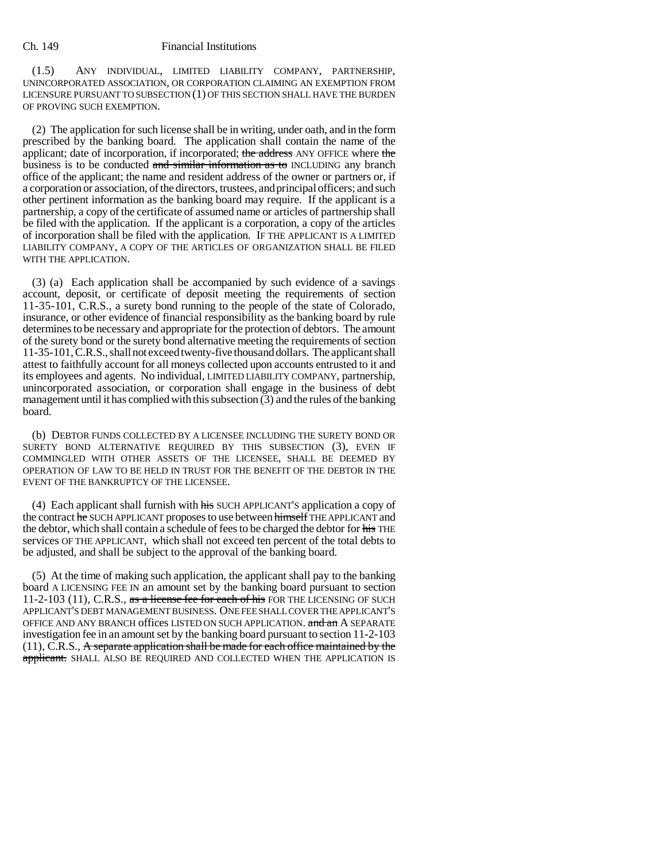#### Ch. 149 Financial Institutions

(1.5) ANY INDIVIDUAL, LIMITED LIABILITY COMPANY, PARTNERSHIP, UNINCORPORATED ASSOCIATION, OR CORPORATION CLAIMING AN EXEMPTION FROM LICENSURE PURSUANT TO SUBSECTION (1) OF THIS SECTION SHALL HAVE THE BURDEN OF PROVING SUCH EXEMPTION.

(2) The application for such license shall be in writing, under oath, and in the form prescribed by the banking board. The application shall contain the name of the applicant; date of incorporation, if incorporated; the address ANY OFFICE where the business is to be conducted and similar information as to INCLUDING any branch office of the applicant; the name and resident address of the owner or partners or, if a corporation or association, of the directors, trustees, and principal officers; and such other pertinent information as the banking board may require. If the applicant is a partnership, a copy of the certificate of assumed name or articles of partnership shall be filed with the application. If the applicant is a corporation, a copy of the articles of incorporation shall be filed with the application. IF THE APPLICANT IS A LIMITED LIABILITY COMPANY, A COPY OF THE ARTICLES OF ORGANIZATION SHALL BE FILED WITH THE APPLICATION.

(3) (a) Each application shall be accompanied by such evidence of a savings account, deposit, or certificate of deposit meeting the requirements of section 11-35-101, C.R.S., a surety bond running to the people of the state of Colorado, insurance, or other evidence of financial responsibility as the banking board by rule determines to be necessary and appropriate for the protection of debtors. The amount of the surety bond or the surety bond alternative meeting the requirements of section 11-35-101, C.R.S., shall not exceed twenty-five thousand dollars. The applicant shall attest to faithfully account for all moneys collected upon accounts entrusted to it and its employees and agents. No individual, LIMITED LIABILITY COMPANY, partnership, unincorporated association, or corporation shall engage in the business of debt management until it has complied with this subsection  $(3)$  and the rules of the banking board.

(b) DEBTOR FUNDS COLLECTED BY A LICENSEE INCLUDING THE SURETY BOND OR SURETY BOND ALTERNATIVE REQUIRED BY THIS SUBSECTION (3), EVEN IF COMMINGLED WITH OTHER ASSETS OF THE LICENSEE, SHALL BE DEEMED BY OPERATION OF LAW TO BE HELD IN TRUST FOR THE BENEFIT OF THE DEBTOR IN THE EVENT OF THE BANKRUPTCY OF THE LICENSEE.

(4) Each applicant shall furnish with his SUCH APPLICANT'S application a copy of the contract he SUCH APPLICANT proposes to use between himself THE APPLICANT and the debtor, which shall contain a schedule of fees to be charged the debtor for his THE services OF THE APPLICANT, which shall not exceed ten percent of the total debts to be adjusted, and shall be subject to the approval of the banking board.

(5) At the time of making such application, the applicant shall pay to the banking board A LICENSING FEE IN an amount set by the banking board pursuant to section 11-2-103 (11), C.R.S., as a license fee for each of his FOR THE LICENSING OF SUCH APPLICANT'S DEBT MANAGEMENT BUSINESS. ONE FEE SHALL COVER THE APPLICANT'S OFFICE AND ANY BRANCH offices LISTED ON SUCH APPLICATION. and an A SEPARATE investigation fee in an amount set by the banking board pursuant to section 11-2-103 (11), C.R.S., A separate application shall be made for each office maintained by the applicant. SHALL ALSO BE REQUIRED AND COLLECTED WHEN THE APPLICATION IS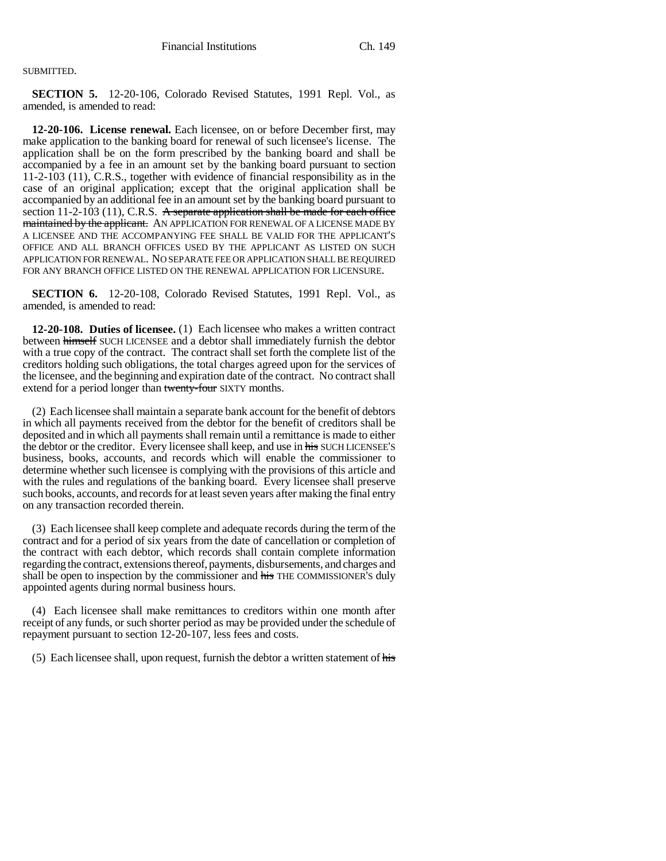### SUBMITTED.

**SECTION 5.** 12-20-106, Colorado Revised Statutes, 1991 Repl. Vol., as amended, is amended to read:

**12-20-106. License renewal.** Each licensee, on or before December first, may make application to the banking board for renewal of such licensee's license. The application shall be on the form prescribed by the banking board and shall be accompanied by a fee in an amount set by the banking board pursuant to section 11-2-103 (11), C.R.S., together with evidence of financial responsibility as in the case of an original application; except that the original application shall be accompanied by an additional fee in an amount set by the banking board pursuant to section 11-2-103 (11), C.R.S. A separate application shall be made for each office maintained by the applicant. AN APPLICATION FOR RENEWAL OF A LICENSE MADE BY A LICENSEE AND THE ACCOMPANYING FEE SHALL BE VALID FOR THE APPLICANT'S OFFICE AND ALL BRANCH OFFICES USED BY THE APPLICANT AS LISTED ON SUCH APPLICATION FOR RENEWAL. NO SEPARATE FEE OR APPLICATION SHALL BE REQUIRED FOR ANY BRANCH OFFICE LISTED ON THE RENEWAL APPLICATION FOR LICENSURE.

**SECTION 6.** 12-20-108, Colorado Revised Statutes, 1991 Repl. Vol., as amended, is amended to read:

**12-20-108. Duties of licensee.** (1) Each licensee who makes a written contract between himself SUCH LICENSEE and a debtor shall immediately furnish the debtor with a true copy of the contract. The contract shall set forth the complete list of the creditors holding such obligations, the total charges agreed upon for the services of the licensee, and the beginning and expiration date of the contract. No contract shall extend for a period longer than twenty-four SIXTY months.

(2) Each licensee shall maintain a separate bank account for the benefit of debtors in which all payments received from the debtor for the benefit of creditors shall be deposited and in which all payments shall remain until a remittance is made to either the debtor or the creditor. Every licensee shall keep, and use in his SUCH LICENSEE'S business, books, accounts, and records which will enable the commissioner to determine whether such licensee is complying with the provisions of this article and with the rules and regulations of the banking board. Every licensee shall preserve such books, accounts, and records for at least seven years after making the final entry on any transaction recorded therein.

(3) Each licensee shall keep complete and adequate records during the term of the contract and for a period of six years from the date of cancellation or completion of the contract with each debtor, which records shall contain complete information regarding the contract, extensions thereof, payments, disbursements, and charges and shall be open to inspection by the commissioner and his THE COMMISSIONER's duly appointed agents during normal business hours.

(4) Each licensee shall make remittances to creditors within one month after receipt of any funds, or such shorter period as may be provided under the schedule of repayment pursuant to section 12-20-107, less fees and costs.

(5) Each licensee shall, upon request, furnish the debtor a written statement of his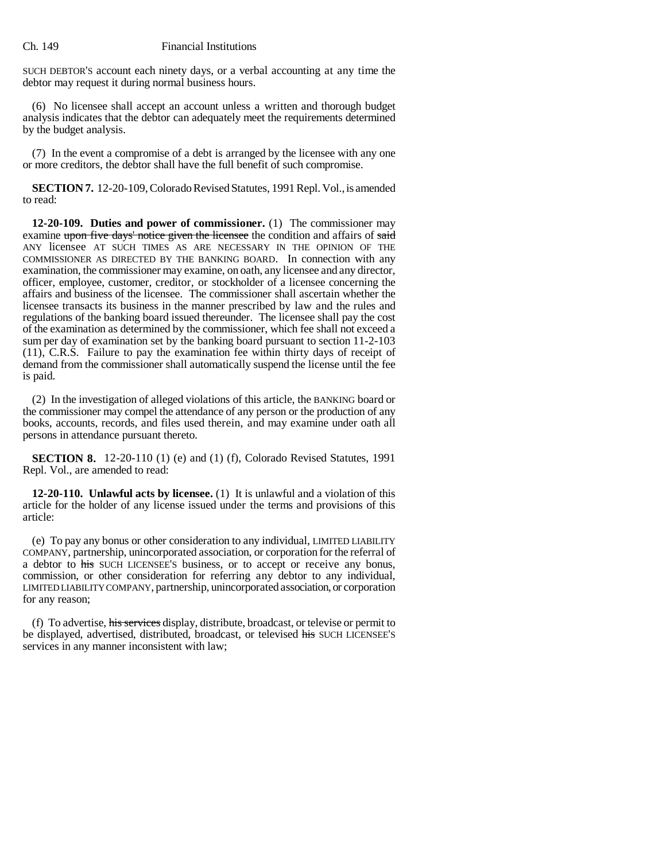#### Ch. 149 Financial Institutions

SUCH DEBTOR'S account each ninety days, or a verbal accounting at any time the debtor may request it during normal business hours.

(6) No licensee shall accept an account unless a written and thorough budget analysis indicates that the debtor can adequately meet the requirements determined by the budget analysis.

(7) In the event a compromise of a debt is arranged by the licensee with any one or more creditors, the debtor shall have the full benefit of such compromise.

**SECTION 7.** 12-20-109, Colorado Revised Statutes, 1991 Repl. Vol., is amended to read:

**12-20-109. Duties and power of commissioner.** (1) The commissioner may examine upon five days' notice given the licensee the condition and affairs of said ANY licensee AT SUCH TIMES AS ARE NECESSARY IN THE OPINION OF THE COMMISSIONER AS DIRECTED BY THE BANKING BOARD. In connection with any examination, the commissioner may examine, on oath, any licensee and any director, officer, employee, customer, creditor, or stockholder of a licensee concerning the affairs and business of the licensee. The commissioner shall ascertain whether the licensee transacts its business in the manner prescribed by law and the rules and regulations of the banking board issued thereunder. The licensee shall pay the cost of the examination as determined by the commissioner, which fee shall not exceed a sum per day of examination set by the banking board pursuant to section 11-2-103 (11), C.R.S. Failure to pay the examination fee within thirty days of receipt of demand from the commissioner shall automatically suspend the license until the fee is paid.

(2) In the investigation of alleged violations of this article, the BANKING board or the commissioner may compel the attendance of any person or the production of any books, accounts, records, and files used therein, and may examine under oath all persons in attendance pursuant thereto.

**SECTION 8.** 12-20-110 (1) (e) and (1) (f), Colorado Revised Statutes, 1991 Repl. Vol., are amended to read:

**12-20-110. Unlawful acts by licensee.** (1) It is unlawful and a violation of this article for the holder of any license issued under the terms and provisions of this article:

(e) To pay any bonus or other consideration to any individual, LIMITED LIABILITY COMPANY, partnership, unincorporated association, or corporation for the referral of a debtor to his SUCH LICENSEE'S business, or to accept or receive any bonus, commission, or other consideration for referring any debtor to any individual, LIMITED LIABILITY COMPANY, partnership, unincorporated association, or corporation for any reason;

(f) To advertise, his services display, distribute, broadcast, or televise or permit to be displayed, advertised, distributed, broadcast, or televised his SUCH LICENSEE'S services in any manner inconsistent with law;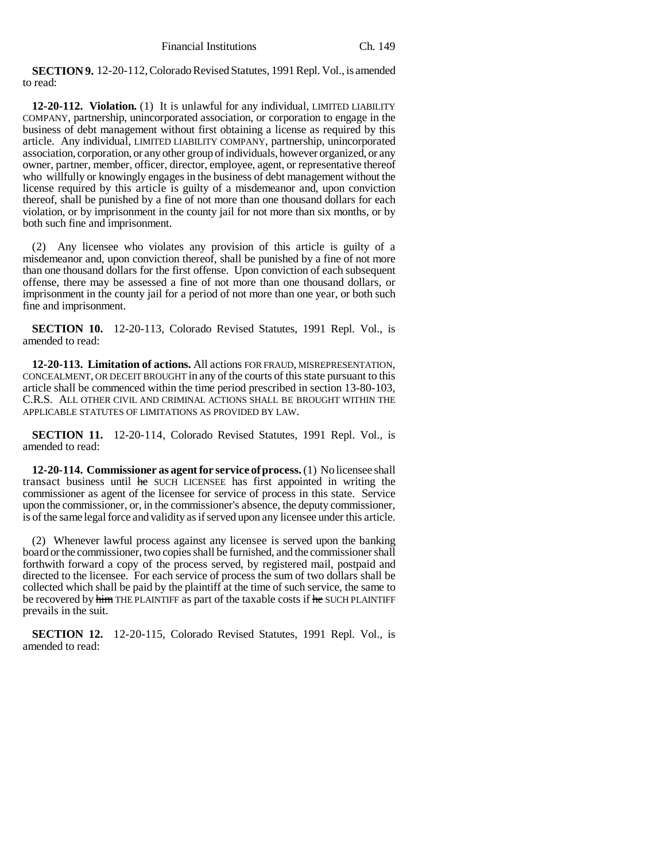**SECTION 9.** 12-20-112, Colorado Revised Statutes, 1991 Repl. Vol., is amended to read:

**12-20-112. Violation.** (1) It is unlawful for any individual, LIMITED LIABILITY COMPANY, partnership, unincorporated association, or corporation to engage in the business of debt management without first obtaining a license as required by this article. Any individual, LIMITED LIABILITY COMPANY, partnership, unincorporated association, corporation, or any other group of individuals, however organized, or any owner, partner, member, officer, director, employee, agent, or representative thereof who willfully or knowingly engages in the business of debt management without the license required by this article is guilty of a misdemeanor and, upon conviction thereof, shall be punished by a fine of not more than one thousand dollars for each violation, or by imprisonment in the county jail for not more than six months, or by both such fine and imprisonment.

(2) Any licensee who violates any provision of this article is guilty of a misdemeanor and, upon conviction thereof, shall be punished by a fine of not more than one thousand dollars for the first offense. Upon conviction of each subsequent offense, there may be assessed a fine of not more than one thousand dollars, or imprisonment in the county jail for a period of not more than one year, or both such fine and imprisonment.

**SECTION 10.** 12-20-113, Colorado Revised Statutes, 1991 Repl. Vol., is amended to read:

**12-20-113. Limitation of actions.** All actions FOR FRAUD, MISREPRESENTATION, CONCEALMENT, OR DECEIT BROUGHT in any of the courts of this state pursuant to this article shall be commenced within the time period prescribed in section 13-80-103, C.R.S. ALL OTHER CIVIL AND CRIMINAL ACTIONS SHALL BE BROUGHT WITHIN THE APPLICABLE STATUTES OF LIMITATIONS AS PROVIDED BY LAW.

**SECTION 11.** 12-20-114, Colorado Revised Statutes, 1991 Repl. Vol., is amended to read:

**12-20-114. Commissioner as agent for service of process.** (1) No licensee shall transact business until he SUCH LICENSEE has first appointed in writing the commissioner as agent of the licensee for service of process in this state. Service upon the commissioner, or, in the commissioner's absence, the deputy commissioner, is of the same legal force and validity as if served upon any licensee under this article.

(2) Whenever lawful process against any licensee is served upon the banking board or the commissioner, two copies shall be furnished, and the commissioner shall forthwith forward a copy of the process served, by registered mail, postpaid and directed to the licensee. For each service of process the sum of two dollars shall be collected which shall be paid by the plaintiff at the time of such service, the same to be recovered by him THE PLAINTIFF as part of the taxable costs if he SUCH PLAINTIFF prevails in the suit.

**SECTION 12.** 12-20-115, Colorado Revised Statutes, 1991 Repl. Vol., is amended to read: